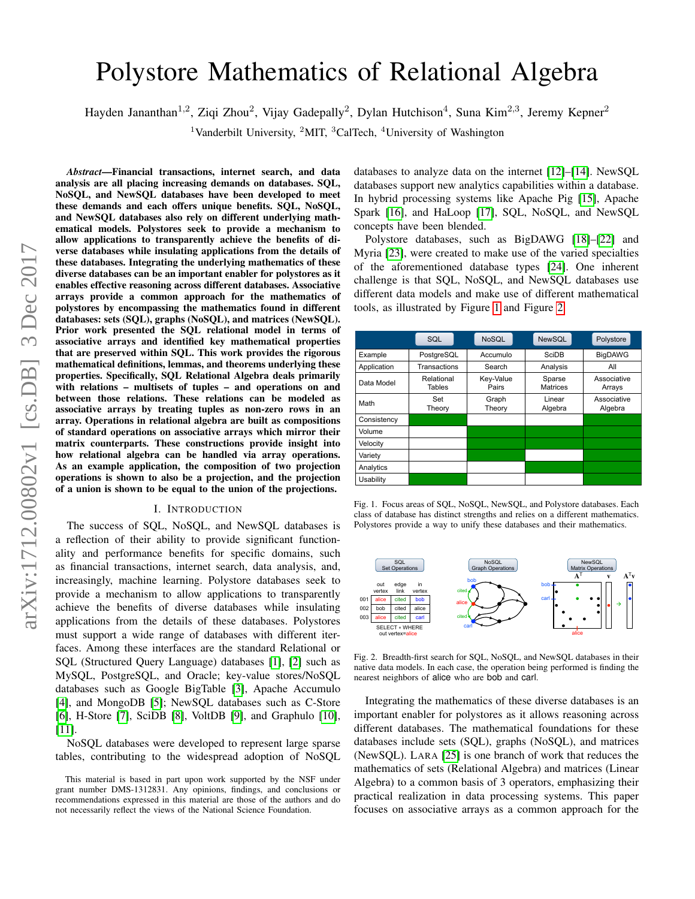# arXiv:1712.00802v1 [cs.DB] 3 Dec 2017 arXiv:1712.00802v1 [cs.DB] 3 Dec 2017

### Polystore Mathematics of Relational Algebra **Polystore Mathematics of Relational Algebron mathematics found in different databases: sets (SQL), graphs**  $\pi$  Kelational Arg  $\overline{c}$  that a user can expect database for a particular task of a particular task of a particular task of a particular task of  $\overline{c}$ of Relational Algebra of fremmont theorem

Hayden Jananthan<sup>1,2</sup>, Ziqi Zhou<sup>2</sup>, Vijay Gadepally<sup>2</sup>, Dylan Hutchison<sup>4</sup>, Suna Kim<sup>2,3</sup>, Jeremy Kepner<sup>2</sup> Hayden Jananthan<sup>1,2</sup>, Ziqi Zhou<sup>2</sup>, Vijay Gadepally<sup>2</sup>, Dylan Hutchison<sup>4</sup>, Suna Kim<sup>2,3</sup>, Jeremy Kepner<sup>2</sup> algebra interface to graphs stored in  $\mathcal{G}$ 

<sup>1</sup>Vanderbilt University, <sup>2</sup>MIT, <sup>3</sup>CalTech, <sup>4</sup>University of Washington **Transformation of Solution of Solution of Solution of Solution of Solution of Solution of Solution of Solution** Tech, <sup>4</sup>University of Washington

Abstract-Financial transactions, internet search, and data analysis are all placing increasing demands on databases. SQL, NoSQL, and NewSQL databases have been developed to meet these demands and each offers unique benefits. SQL, NoSQL, and NewSQL databases also rely on different underlying mathematical models. Polystores seek to provide a mechanism to allow applications to transparently achieve the benefits of diverse databases while insulating applications from the details of these databases. Integrating the underlying mathematics of these diverse databases can be an important enabler for polystores as it enables effective reasoning across different databases. Associative enables effective reasoning across different databases. arrays provide a common approach for the mathematics of polystores by encompassing the mathematics found in different databases: sets (SQL), graphs (NoSQL), and matrices (NewSQL). Prior work presented the SQL relational model in terms of associative arrays and identified key mathematical properties that are preserved within SQL. This work provides the rigorous mathematical definitions, lemmas, and theorems underlying these<br>2013 have been developed for representing for representing for representing for representing large sparse tables properties. Specifically, SQL Relational Algebra deals primarily properues. Specifically, SQL Relational Algebra deals primarily<br>with relations – multisets of tuples – and operations on and which relations – ministes of tuples – and operations on and<br>between those relations. These relations can be modeled as associative arrays by treating tuples as non-zero rows in an array. Operations in relational algebra are built as compositions of standard operations on associative arrays which mirror their matrix counterparts. These constructions provide insight into how relational algebra can be handled via array operations. As an example application, the composition of two projection operations is shown to also be a projection, and the projection of a union is shown to be equal to the union of the projections.

# I. INTRODUCTION

The success of SQL, NoSQL, and NewSQL databases is a reflection of their ability to provide significant functionality and performance benefits for specific domains, such any operation under Science Foundation under Science Foundation under Science Foundation under Science Foundations or the National Science Foundations or the Nation as financial transactions, internet search, data analysis, and, Set Operations Comments in the Matterial are the Matterial are the Matterial of the Matterial Science Foundations of the National Science Foundation. increasingly, machine learning. Polystore databases seek to provide a mechanism to allow applications to transparently achieve the benefits of diverse databases while insulating applications from the details of these databases. Polystores must support a wide range of databases with different iterfaces. Among these interfaces are the standard Relational or SQL (Structured Query Language) databases [\[1\]](#page-8-0), [\[2\]](#page-8-1) such as MySQL, PostgreSQL, and Oracle; key-value stores/NoSQL databases such as Google BigTable [\[3\]](#page-8-2), Apache Accumulo [\[4\]](#page-8-3), and MongoDB [\[5\]](#page-8-4); NewSQL databases such as C-Store [\[6\]](#page-8-5), H-Store [\[7\]](#page-8-6), SciDB [\[8\]](#page-8-7), VoltDB [\[9\]](#page-8-8), and Graphulo [\[10\]](#page-8-9), [\[11\]](#page-8-10). The success of SQL, NoSQL, and NewSQL databases  $\mu$ 

NoSQL databases were developed to represent large sparse tables, contributing to the widespread adoption of NoSQL databases to analyze data on the internet  $[12]$ - $[14]$ . NewSQL databases support new analytics capabilities within a database. In hybrid processing systems like Apache Pig [\[15\]](#page-8-13), Apache Spark [\[16\]](#page-8-14), and HaLoop [\[17\]](#page-8-15), SQL, NoSQL, and NewSQL  $\epsilon_{\text{p}}$  concepts have been blended. concepts have been blended.<br>Polystore databases, such as BigDAWG [\[18\]](#page-8-16)–[\[22\]](#page-9-0) and

**NewSQL** 

Myria [\[23\]](#page-9-1), were created to make use of the varied specialties of the aforementioned database types [\[24\]](#page-9-2). One inherent challenge is that SQL, NoSQL, and NewSQL databases use different data models and make use of different mathematical tools, as illustrated by Figure [1](#page-0-0) and Figure [2.](#page-0-1)  $\alpha$  general-purpose data base data base of the valued specialities concept.<br>Concept.

|             | SQL                  | <b>NoSQL</b>       | <b>NewSQL</b>             | Polystore              |
|-------------|----------------------|--------------------|---------------------------|------------------------|
| Example     | PostgreSQL           | Accumulo           | SciDB                     | <b>BigDAWG</b>         |
| Application | Transactions         | Search             | Analysis                  | All                    |
| Data Model  | Relational<br>Tables | Key-Value<br>Pairs | Sparse<br><b>Matrices</b> | Associative<br>Arrays  |
| Math        | Set<br>Theory        | Graph<br>Theory    | Linear<br>Algebra         | Associative<br>Algebra |
| Consistency |                      |                    |                           |                        |
| Volume      |                      |                    |                           |                        |
| Velocity    |                      |                    |                           |                        |
| Variety     |                      |                    |                           |                        |
| Analytics   |                      |                    |                           |                        |
| Usability   |                      |                    |                           |                        |

<span id="page-0-0"></span>Fig. 1. Focus areas of SQL, NoSQL, NewSQL, and Polystore databases. Each rig. 1. Focus areas of SQL, NOSQL, NewsQL, and Polystofe databases. Each class of database has distinct strengths and relies on a different mathematics. Polystores provide a way to unify these databases and their mathematics.

look for patterns in numeric data.



<span id="page-0-1"></span>Fig. 2. Breadth-first search for SQL, NoSQL, and NewSQL databases in their nearest neighbors of alice who are bob and carl. native data models. In each case, the operation being performed is finding the

the above databases is as follows. First, the relevant aspects of Integrating the mathematics of these diverse databases is an important enabler for polystores as it allows reasoning across different databases. The mathematical foundations for these databases include sets (SQL), graphs (NoSQL), and matrices (NewSQL). LARA [\[25\]](#page-9-3) is one branch of work that reduces the mathematics of sets (Relational Algebra) and matrices (Linear Algebra) to a common basis of 3 operators, emphasizing their practical realization in data processing systems. This paper focuses on associative arrays as a common approach for the

This material is based in part upon work supported by the NSF under grant number DMS-1312831. Any opinions, findings, and conclusions or recommendations expressed in this material are those of the authors and do not necessarily reflect the views of the National Science Foundation.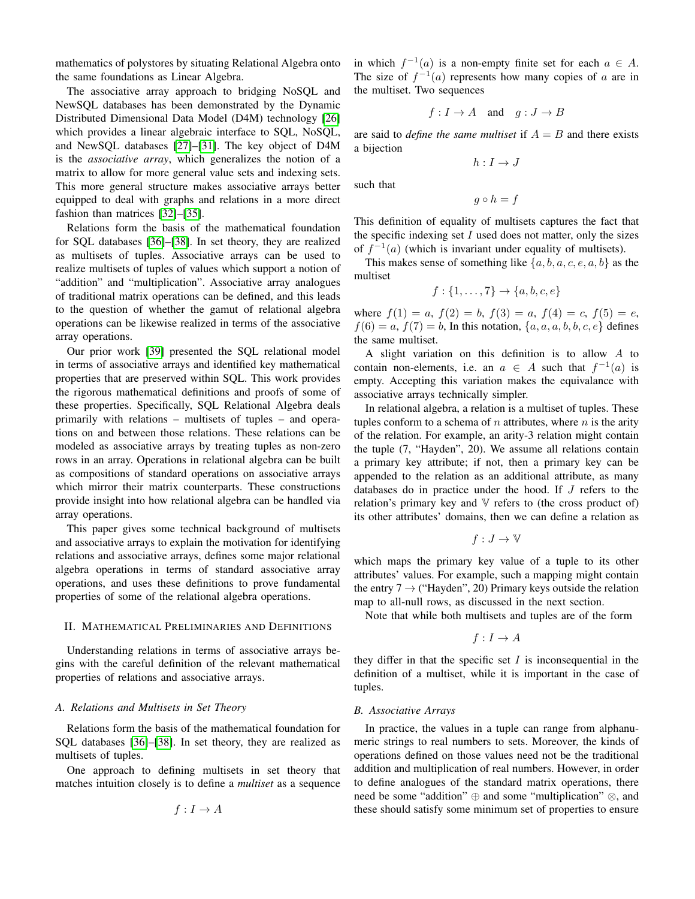mathematics of polystores by situating Relational Algebra onto the same foundations as Linear Algebra.

The associative array approach to bridging NoSQL and NewSQL databases has been demonstrated by the Dynamic Distributed Dimensional Data Model (D4M) technology [\[26\]](#page-9-4) which provides a linear algebraic interface to SQL, NoSQL, and NewSQL databases [\[27\]](#page-9-5)–[\[31\]](#page-9-6). The key object of D4M is the *associative array*, which generalizes the notion of a matrix to allow for more general value sets and indexing sets. This more general structure makes associative arrays better equipped to deal with graphs and relations in a more direct fashion than matrices [\[32\]](#page-9-7)–[\[35\]](#page-9-8).

Relations form the basis of the mathematical foundation for SQL databases [\[36\]](#page-9-9)–[\[38\]](#page-9-10). In set theory, they are realized as multisets of tuples. Associative arrays can be used to realize multisets of tuples of values which support a notion of "addition" and "multiplication". Associative array analogues of traditional matrix operations can be defined, and this leads to the question of whether the gamut of relational algebra operations can be likewise realized in terms of the associative array operations.

Our prior work [\[39\]](#page-9-11) presented the SQL relational model in terms of associative arrays and identified key mathematical properties that are preserved within SQL. This work provides the rigorous mathematical definitions and proofs of some of these properties. Specifically, SQL Relational Algebra deals primarily with relations – multisets of tuples – and operations on and between those relations. These relations can be modeled as associative arrays by treating tuples as non-zero rows in an array. Operations in relational algebra can be built as compositions of standard operations on associative arrays which mirror their matrix counterparts. These constructions provide insight into how relational algebra can be handled via array operations.

This paper gives some technical background of multisets and associative arrays to explain the motivation for identifying relations and associative arrays, defines some major relational algebra operations in terms of standard associative array operations, and uses these definitions to prove fundamental properties of some of the relational algebra operations.

### II. MATHEMATICAL PRELIMINARIES AND DEFINITIONS

Understanding relations in terms of associative arrays begins with the careful definition of the relevant mathematical properties of relations and associative arrays.

### *A. Relations and Multisets in Set Theory*

Relations form the basis of the mathematical foundation for SQL databases [\[36\]](#page-9-9)–[\[38\]](#page-9-10). In set theory, they are realized as multisets of tuples.

One approach to defining multisets in set theory that matches intuition closely is to define a *multiset* as a sequence

$$
f: I \to A
$$

in which  $f^{-1}(a)$  is a non-empty finite set for each  $a \in A$ . The size of  $f^{-1}(a)$  represents how many copies of a are in the multiset. Two sequences

$$
f: I \to A \quad \text{and} \quad g: J \to B
$$

are said to *define the same multiset* if  $A = B$  and there exists a bijection

$$
h:I\to J
$$

such that

This definition of equality of multisets captures the fact that the specific indexing set  $I$  used does not matter, only the sizes of  $f^{-1}(a)$  (which is invariant under equality of multisets).

 $g \circ h = f$ 

This makes sense of something like  $\{a, b, a, c, e, a, b\}$  as the multiset

$$
f: \{1, \ldots, 7\} \to \{a, b, c, e\}
$$

where  $f(1) = a$ ,  $f(2) = b$ ,  $f(3) = a$ ,  $f(4) = c$ ,  $f(5) = e$ ,  $f(6) = a, f(7) = b$ , In this notation,  $\{a, a, a, b, b, c, e\}$  defines the same multiset.

A slight variation on this definition is to allow A to contain non-elements, i.e. an  $a \in A$  such that  $f^{-1}(a)$  is empty. Accepting this variation makes the equivalance with associative arrays technically simpler.

In relational algebra, a relation is a multiset of tuples. These tuples conform to a schema of n attributes, where  $n$  is the arity of the relation. For example, an arity-3 relation might contain the tuple (7, "Hayden", 20). We assume all relations contain a primary key attribute; if not, then a primary key can be appended to the relation as an additional attribute, as many databases do in practice under the hood. If J refers to the relation's primary key and V refers to (the cross product of) its other attributes' domains, then we can define a relation as

$$
f:J\to\mathbb{V}
$$

which maps the primary key value of a tuple to its other attributes' values. For example, such a mapping might contain the entry  $7 \rightarrow$  ("Hayden", 20) Primary keys outside the relation map to all-null rows, as discussed in the next section.

Note that while both multisets and tuples are of the form

$$
f: I \to A
$$

they differ in that the specific set  $I$  is inconsequential in the definition of a multiset, while it is important in the case of tuples.

### *B. Associative Arrays*

In practice, the values in a tuple can range from alphanumeric strings to real numbers to sets. Moreover, the kinds of operations defined on those values need not be the traditional addition and multiplication of real numbers. However, in order to define analogues of the standard matrix operations, there need be some "addition" ⊕ and some "multiplication" ⊗, and these should satisfy some minimum set of properties to ensure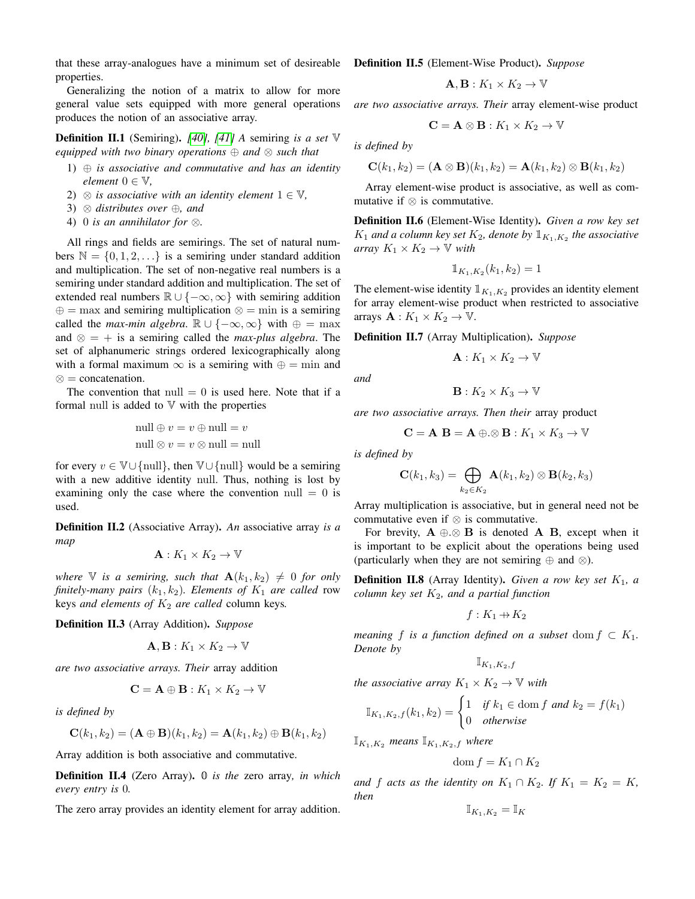that these array-analogues have a minimum set of desireable properties.

Generalizing the notion of a matrix to allow for more general value sets equipped with more general operations produces the notion of an associative array.

**Definition II.1** (Semiring). [\[40\]](#page-9-12), [\[41\]](#page-9-13) A semiring *is a set*  $\mathbb{V}$ *equipped with two binary operations* ⊕ *and* ⊗ *such that*

- 1) ⊕ *is associative and commutative and has an identity element*  $0 \in \mathbb{V}$ *,*
- 2)  $\otimes$  *is associative with an identity element*  $1 \in \mathbb{V}$ ,
- 3) ⊗ *distributes over* ⊕*, and*
- 4) 0 *is an annihilator for* ⊗*.*

All rings and fields are semirings. The set of natural numbers  $\mathbb{N} = \{0, 1, 2, \ldots\}$  is a semiring under standard addition and multiplication. The set of non-negative real numbers is a semiring under standard addition and multiplication. The set of extended real numbers  $\mathbb{R} \cup \{-\infty, \infty\}$  with semiring addition  $\oplus$  = max and semiring multiplication  $\otimes$  = min is a semiring called the *max-min algebra*.  $\mathbb{R} \cup \{-\infty, \infty\}$  with  $\oplus = \max$ and  $\otimes$  = + is a semiring called the *max-plus algebra*. The set of alphanumeric strings ordered lexicographically along with a formal maximum  $\infty$  is a semiring with  $\oplus = \min$  and  $\otimes$  = concatenation.

The convention that  $null = 0$  is used here. Note that if a formal null is added to  $V$  with the properties

$$
\text{null} \oplus v = v \oplus \text{null} = v
$$
  

$$
\text{null} \otimes v = v \otimes \text{null} = \text{null}
$$

for every  $v \in \mathbb{V} \cup \{\text{null}\},\$  then  $\mathbb{V} \cup \{\text{null}\}\$  would be a semiring with a new additive identity null. Thus, nothing is lost by examining only the case where the convention null  $= 0$  is used.

Definition II.2 (Associative Array). *An* associative array *is a map*

$$
\mathbf{A}: K_1 \times K_2 \to \mathbb{V}
$$

*where* V *is a semiring, such that*  $\mathbf{A}(k_1, k_2) \neq 0$  *for only finitely-many pairs*  $(k_1, k_2)$ *. Elements of*  $K_1$  *are called* row keys *and elements of*  $K_2$  *are called* column keys.

Definition II.3 (Array Addition). *Suppose*

$$
\mathbf{A}, \mathbf{B}: K_1 \times K_2 \to \mathbb{V}
$$

*are two associative arrays. Their* array addition

$$
\mathbf{C} = \mathbf{A} \oplus \mathbf{B} : K_1 \times K_2 \to \mathbb{V}
$$

*is defined by*

$$
C(k_1,k_2) = (A \oplus B)(k_1,k_2) = A(k_1,k_2) \oplus B(k_1,k_2)
$$

Array addition is both associative and commutative.

Definition II.4 (Zero Array). 0 *is the* zero array*, in which every entry is* 0*.*

The zero array provides an identity element for array addition.

Definition II.5 (Element-Wise Product). *Suppose*

$$
\mathbf{A}, \mathbf{B}: K_1 \times K_2 \to \mathbb{V}
$$

*are two associative arrays. Their* array element-wise product

$$
\mathbf{C} = \mathbf{A} \otimes \mathbf{B} : K_1 \times K_2 \to \mathbb{V}
$$

*is defined by*

$$
\mathbf{C}(k_1,k_2)=(\mathbf{A}\otimes\mathbf{B})(k_1,k_2)=\mathbf{A}(k_1,k_2)\otimes\mathbf{B}(k_1,k_2)
$$

Array element-wise product is associative, as well as commutative if ⊗ is commutative.

Definition II.6 (Element-Wise Identity). *Given a row key set*  $K_1$  and a column key set  $K_2$ , denote by  $\mathbb{1}_{K_1,K_2}$  the associative *array*  $K_1 \times K_2 \rightarrow \mathbb{V}$  *with* 

$$
\mathbb{1}_{K_1, K_2}(k_1, k_2) = 1
$$

The element-wise identity  $\mathbb{1}_{K_1,K_2}$  provides an identity element for array element-wise product when restricted to associative arrays  $\mathbf{A}: K_1 \times K_2 \to \mathbb{V}$ .

<span id="page-2-0"></span>Definition II.7 (Array Multiplication). *Suppose*

$$
\mathbf{A}: K_1 \times K_2 \to \mathbb{V}
$$

*and*

$$
\mathbf{B}: K_2 \times K_3 \to \mathbb{V}
$$

*are two associative arrays. Then their* array product

$$
\mathbf{C} = \mathbf{A} \ \mathbf{B} = \mathbf{A} \oplus \otimes \mathbf{B} : K_1 \times K_3 \to \mathbb{V}
$$

*is defined by*

$$
\mathbf{C}(k_1,k_3)=\bigoplus_{k_2\in K_2}\mathbf{A}(k_1,k_2)\otimes \mathbf{B}(k_2,k_3)
$$

Array multiplication is associative, but in general need not be commutative even if ⊗ is commutative.

For brevity,  $A \oplus \otimes B$  is denoted A B, except when it is important to be explicit about the operations being used (particularly when they are not semiring  $oplus$  and  $\otimes$ ).

**Definition II.8** (Array Identity). *Given a row key set*  $K_1$ , a *column key set* K2*, and a partial function*

$$
f:K_1\to K_2
$$

*meaning* f *is a function defined on a subset* dom  $f \subset K_1$ . *Denote by*

$$
\mathbb{I}_{K_1, K_2, f}
$$

*the associative array*  $K_1 \times K_2 \rightarrow \mathbb{V}$  *with* 

$$
\mathbb{I}_{K_1,K_2,f}(k_1,k_2) = \begin{cases} 1 & \text{if } k_1 \in \text{dom } f \text{ and } k_2 = f(k_1) \\ 0 & \text{otherwise} \end{cases}
$$

 $\mathbb{I}_{K_1,K_2}$  *means*  $\mathbb{I}_{K_1,K_2,f}$  *where* 

$$
\mathrm{dom}\, f = K_1 \cap K_2
$$

*and* f *acts as the identity on*  $K_1 \cap K_2$ *. If*  $K_1 = K_2 = K$ *, then*

$$
\mathbb{I}_{K_1,K_2}=\mathbb{I}_K
$$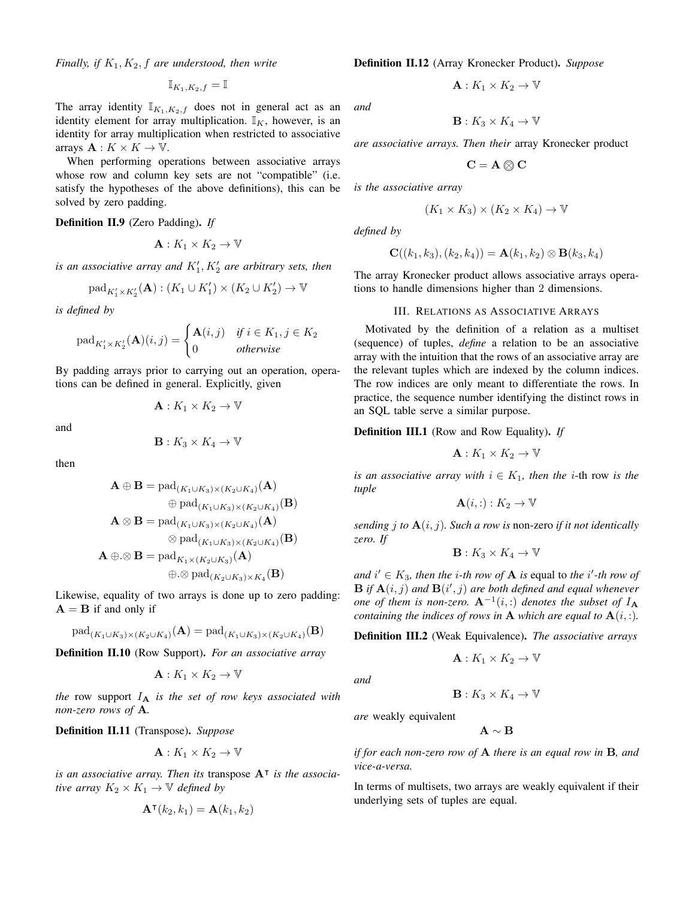*Finally, if*  $K_1, K_2, f$  *are understood, then write* 

$$
\mathbb{I}_{K_1, K_2, f} = \mathbb{I}
$$

The array identity  $\mathbb{I}_{K_1,K_2,f}$  does not in general act as an identity element for array multiplication.  $\mathbb{I}_K$ , however, is an identity for array multiplication when restricted to associative arrays  $\mathbf{A}: K \times K \to \mathbb{V}$ .

When performing operations between associative arrays whose row and column key sets are not "compatible" (i.e. satisfy the hypotheses of the above definitions), this can be solved by zero padding.

Definition II.9 (Zero Padding). *If*

$$
\mathbf{A}: K_1 \times K_2 \to \mathbb{V}
$$

*is an associative array and*  $K_1, K_2'$  *are arbitrary sets, then* 

$$
\mathrm{pad}_{K'_1\times K'_2}(\mathbf{A}):(K_1\cup K'_1)\times (K_2\cup K'_2)\to \mathbb{V}
$$

*is defined by*

$$
\text{pad}_{K_1' \times K_2'}(\mathbf{A})(i,j) = \begin{cases} \mathbf{A}(i,j) & \text{if } i \in K_1, j \in K_2 \\ 0 & \text{otherwise} \end{cases}
$$

By padding arrays prior to carrying out an operation, operations can be defined in general. Explicitly, given

$$
\mathbf{A}: K_1 \times K_2 \to \mathbb{V}
$$

and

$$
\mathbf{B}: K_3 \times K_4 \to \mathbb{V}
$$

then

$$
\mathbf{A} \oplus \mathbf{B} = \text{pad}_{(K_1 \cup K_3) \times (K_2 \cup K_4)}(\mathbf{A})
$$
  
\n
$$
\oplus \text{pad}_{(K_1 \cup K_3) \times (K_2 \cup K_4)}(\mathbf{B})
$$
  
\n
$$
\mathbf{A} \otimes \mathbf{B} = \text{pad}_{(K_1 \cup K_3) \times (K_2 \cup K_4)}(\mathbf{A})
$$
  
\n
$$
\otimes \text{pad}_{(K_1 \cup K_3) \times (K_2 \cup K_4)}(\mathbf{B})
$$
  
\n
$$
\mathbf{A} \oplus \otimes \mathbf{B} = \text{pad}_{K_1 \times (K_2 \cup K_3)}(\mathbf{A})
$$
  
\n
$$
\oplus \otimes \text{pad}_{(K_2 \cup K_3) \times K_4}(\mathbf{B})
$$

Likewise, equality of two arrays is done up to zero padding:  $A = B$  if and only if

$$
pad_{(K_1 \cup K_3) \times (K_2 \cup K_4)}(A) = pad_{(K_1 \cup K_3) \times (K_2 \cup K_4)}(B)
$$

Definition II.10 (Row Support). *For an associative array*

$$
\mathbf{A}: K_1 \times K_2 \to \mathbb{V}
$$

*the* row support  $I_A$  *is the set of row keys associated with non-zero rows of* A*.*

Definition II.11 (Transpose). *Suppose*

$$
\mathbf{A}: K_1 \times K_2 \to \mathbb{V}
$$

is an associative array. Then its transpose  $A^{\dagger}$  is the associa*tive array*  $K_2 \times K_1 \to \mathbb{V}$  *defined by* 

$$
\mathbf{A}^{\mathsf{T}}(k_2,k_1) = \mathbf{A}(k_1,k_2)
$$

Definition II.12 (Array Kronecker Product). *Suppose*

$$
\mathbf{A}: K_1 \times K_2 \to \mathbb{V}
$$

$$
\mathbf{B}: K_3 \times K_4 \to \mathbb{V}
$$

*are associative arrays. Then their* array Kronecker product

$$
\mathbf{C} = \mathbf{A} \otimes \mathbf{C}
$$

*is the associative array*

$$
(K_1 \times K_3) \times (K_2 \times K_4) \to \mathbb{V}
$$

*defined by*

*and*

$$
\mathbf{C}((k_1,k_3),(k_2,k_4)) = \mathbf{A}(k_1,k_2) \otimes \mathbf{B}(k_3,k_4)
$$

The array Kronecker product allows associative arrays operations to handle dimensions higher than 2 dimensions.

### III. RELATIONS AS ASSOCIATIVE ARRAYS

Motivated by the definition of a relation as a multiset (sequence) of tuples, *define* a relation to be an associative array with the intuition that the rows of an associative array are the relevant tuples which are indexed by the column indices. The row indices are only meant to differentiate the rows. In practice, the sequence number identifying the distinct rows in an SQL table serve a similar purpose.

Definition III.1 (Row and Row Equality). *If*

$$
\mathbf{A}: K_1 \times K_2 \to \mathbb{V}
$$

*is an associative array with*  $i \in K_1$ *, then the i*-th row *is the tuple*

$$
\mathbf{A}(i,:):K_2\to\mathbb{V}
$$

*sending*  $j$  *to*  $\mathbf{A}(i, j)$ *. Such a row is* non-zero *if it not identically zero. If*

$$
\mathbf{B}: K_3 \times K_4 \to \mathbb{V}
$$

 $\mathbf{a}$  *and*  $\mathbf{i}' \in K_3$ , then the *i*-th row of **A** is equal to the *i*'-th row of  $\mathbf{B}$  if  $\mathbf{A}(i, j)$  and  $\mathbf{B}(i', j)$  are both defined and equal whenever *one of them is non-zero.*  $A^{-1}(i,:)$  *denotes the subset of*  $I_A$ *containing the indices of rows in* **A** *which are equal to*  $\mathbf{A}(i,:)$ *.* 

Definition III.2 (Weak Equivalence). *The associative arrays*

$$
\mathbf{A}: K_1 \times K_2 \to \mathbb{V}
$$

*and*

$$
\mathbf{B}: K_3 \times K_4 \to \mathbb{V}
$$

*are* weakly equivalent

 $\mathbf{A} \sim \mathbf{B}$ 

*if for each non-zero row of* A *there is an equal row in* B*, and vice-a-versa.*

In terms of multisets, two arrays are weakly equivalent if their underlying sets of tuples are equal.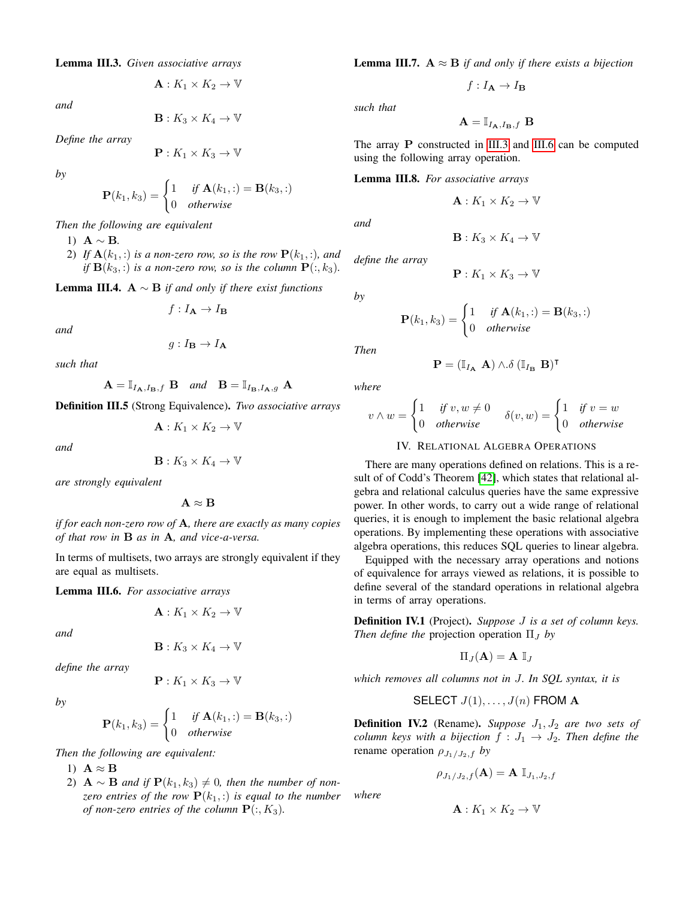$\mathbf{A}: K_1 \times K_2 \to \mathbb{V}$ 

<span id="page-4-0"></span>*and*

$$
\mathbf{B}: K_3 \times K_4 \to \mathbb{V}
$$

*Define the array*

$$
\mathbf{P}: K_1 \times K_3 \to \mathbb{V}
$$

*by*

$$
\mathbf{P}(k_1, k_3) = \begin{cases} 1 & \text{if } \mathbf{A}(k_1, :) = \mathbf{B}(k_3, :) \\ 0 & \text{otherwise} \end{cases}
$$

*Then the following are equivalent*

1) A ∼ B*.*

2) If  $\mathbf{A}(k_1, :)$  *is a non-zero row, so is the row*  $\mathbf{P}(k_1, :)$ *, and if*  $\mathbf{B}(k_3, :)$  *is a non-zero row, so is the column*  $\mathbf{P}(:, k_3)$ *.* 

Lemma III.4. A ∼ B *if and only if there exist functions*

$$
f: I_{\mathbf{A}} \to I_{\mathbf{B}}
$$

*and*

$$
g: I_{\mathbf{B}} \to I_{\mathbf{A}}
$$

*such that*

$$
\mathbf{A} = \mathbb{I}_{I_{\mathbf{A}},I_{\mathbf{B}},f} \mathbf{B} \quad and \quad \mathbf{B} = \mathbb{I}_{I_{\mathbf{B}},I_{\mathbf{A}},g} \mathbf{A}
$$

Definition III.5 (Strong Equivalence). *Two associative arrays*

$$
\mathbf{A}: K_1 \times K_2 \to \mathbb{V}
$$

*and*

$$
\mathbf{B}: K_3 \times K_4 \to \mathbb{V}
$$

*are strongly equivalent*

 $A \approx B$ 

*if for each non-zero row of* A*, there are exactly as many copies of that row in* B *as in* A*, and vice-a-versa.*

In terms of multisets, two arrays are strongly equivalent if they are equal as multisets.

<span id="page-4-1"></span>Lemma III.6. *For associative arrays*

$$
\mathbf{A}: K_1 \times K_2 \to \mathbb{V}
$$

*and*

$$
\mathbf{B}: K_3 \times K_4 \to \mathbb{V}
$$

*define the array*

$$
\mathbf{P}: K_1 \times K_3 \to \mathbb{V}
$$

*by*

$$
\mathbf{P}(k_1, k_3) = \begin{cases} 1 & \text{if } \mathbf{A}(k_1, :) = \mathbf{B}(k_3, :) \\ 0 & \text{otherwise} \end{cases}
$$

*Then the following are equivalent:*

- 1)  $\mathbf{A} \approx \mathbf{B}$
- 2)  $\mathbf{A} \sim \mathbf{B}$  *and if*  $\mathbf{P}(k_1, k_3) \neq 0$ *, then the number of nonzero entries of the row*  $P(k_1, :)$  *is equal to the number of non-zero entries of the column*  $P(:, K_3)$ *.*

**Lemma III.7.**  $A \approx B$  *if and only if there exists a bijection* 

$$
f:I_{\mathbf{A}}\to I_{\mathbf{B}}
$$

*such that*

$$
\mathbf{A} = \mathbb{I}_{I_{\mathbf{A}}, I_{\mathbf{B}}, f} \ \mathbf{B}
$$

The array P constructed in [III.3](#page-4-0) and [III.6](#page-4-1) can be computed using the following array operation.

Lemma III.8. *For associative arrays*

$$
\mathbf{A}: K_1 \times K_2 \to \mathbb{V}
$$

 $\mathbf{B}: K_3 \times K_4 \to \mathbb{V}$ 

 $\mathbf{P}: K_1 \times K_3 \to \mathbb{V}$ 

*define the array*

*by*

*and*

$$
\mathbf{P}(k_1, k_3) = \begin{cases} 1 & \text{if } \mathbf{A}(k_1, :) = \mathbf{B}(k_3, :) \\ 0 & \text{otherwise} \end{cases}
$$

$$
\mathbf{P} = (\mathbb{I}_{I_{\mathbf{A}}} \ \mathbf{A}) \wedge \delta \ (\mathbb{I}_{I_{\mathbf{B}}} \ \mathbf{B})^{\intercal}
$$

*where*

*Then*

$$
v \wedge w = \begin{cases} 1 & \text{if } v, w \neq 0 \\ 0 & \text{otherwise} \end{cases} \quad \delta(v, w) = \begin{cases} 1 & \text{if } v = w \\ 0 & \text{otherwise} \end{cases}
$$

### IV. RELATIONAL ALGEBRA OPERATIONS

There are many operations defined on relations. This is a result of of Codd's Theorem [\[42\]](#page-9-14), which states that relational algebra and relational calculus queries have the same expressive power. In other words, to carry out a wide range of relational queries, it is enough to implement the basic relational algebra operations. By implementing these operations with associative algebra operations, this reduces SQL queries to linear algebra.

Equipped with the necessary array operations and notions of equivalence for arrays viewed as relations, it is possible to define several of the standard operations in relational algebra in terms of array operations.

<span id="page-4-2"></span>Definition IV.1 (Project). *Suppose* J *is a set of column keys. Then define the* projection operation  $\Pi_J$  *by* 

$$
\Pi_J(\mathbf{A}) = \mathbf{A} \mathbb{I}_J
$$

*which removes all columns not in* J*. In SQL syntax, it is*

SELECT 
$$
J(1), \ldots, J(n)
$$
 FROM A

**Definition IV.2** (Rename). *Suppose*  $J_1, J_2$  *are two sets of column keys with a bijection*  $f : J_1 \rightarrow J_2$ *. Then define the* rename operation  $\rho_{J_1/J_2,f}$  *by* 

$$
\rho_{J_1/J_2,f}(\mathbf{A})=\mathbf{A} \ \mathbb{I}_{J_1,J_2,f}
$$

*where*

$$
\mathbf{A}: K_1 \times K_2 \to \mathbb{V}
$$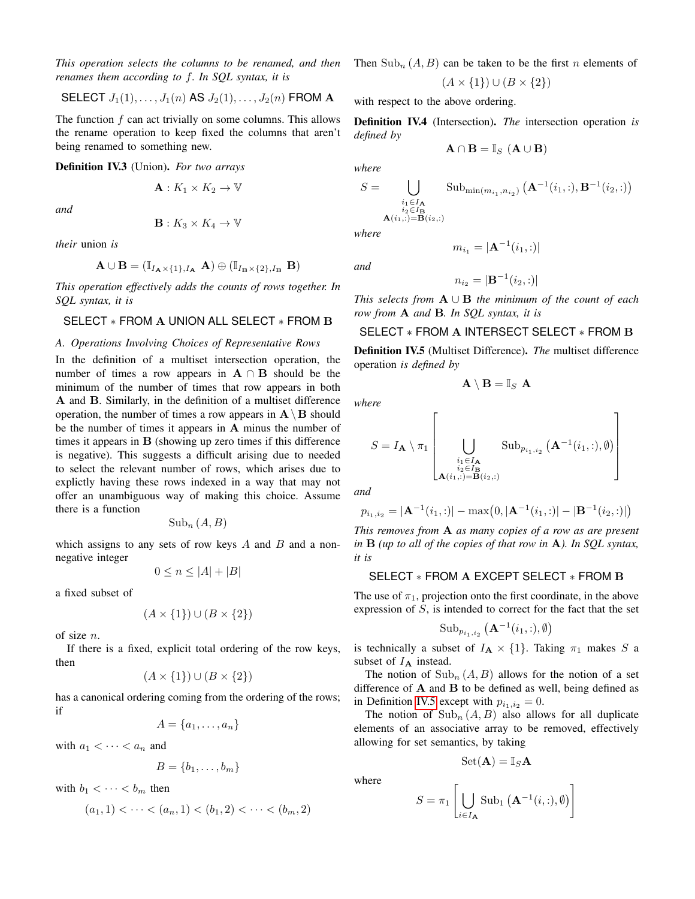*This operation selects the columns to be renamed, and then renames them according to* f*. In SQL syntax, it is*

SELECT 
$$
J_1(1), \ldots, J_1(n)
$$
 AS  $J_2(1), \ldots, J_2(n)$  FROM A

The function  $f$  can act trivially on some columns. This allows the rename operation to keep fixed the columns that aren't being renamed to something new.

<span id="page-5-1"></span>Definition IV.3 (Union). *For two arrays*

$$
\mathbf{A}: K_1 \times K_2 \to \mathbb{V}
$$

*and*

$$
\mathbf{B}: K_3 \times K_4 \to \mathbb{V}
$$

*their* union *is*

$$
\mathbf{A} \cup \mathbf{B} = (\mathbb{I}_{I_{\mathbf{A}} \times \{1\}, I_{\mathbf{A}}} \mathbf{A}) \oplus (\mathbb{I}_{I_{\mathbf{B}} \times \{2\}, I_{\mathbf{B}}} \mathbf{B})
$$

*This operation effectively adds the counts of rows together. In SQL syntax, it is*

## SELECT ∗ FROM A UNION ALL SELECT ∗ FROM B

### *A. Operations Involving Choices of Representative Rows*

In the definition of a multiset intersection operation, the number of times a row appears in  $A \cap B$  should be the minimum of the number of times that row appears in both A and B. Similarly, in the definition of a multiset difference operation, the number of times a row appears in  $A \ B$  should be the number of times it appears in  $A$  minus the number of times it appears in B (showing up zero times if this difference is negative). This suggests a difficult arising due to needed to select the relevant number of rows, which arises due to explictly having these rows indexed in a way that may not offer an unambiguous way of making this choice. Assume there is a function

$$
\mathrm{Sub}_{n}\left( A,B\right)
$$

which assigns to any sets of row keys  $A$  and  $B$  and a nonnegative integer

$$
0 \le n \le |A| + |B|
$$

a fixed subset of

$$
(A \times \{1\}) \cup (B \times \{2\})
$$

of size n.

If there is a fixed, explicit total ordering of the row keys, then

$$
(A \times \{1\}) \cup (B \times \{2\})
$$

has a canonical ordering coming from the ordering of the rows; if

$$
A = \{a_1, \ldots, a_n\}
$$

with  $a_1 < \cdots < a_n$  and

$$
B = \{b_1, \ldots, b_m\}
$$

with  $b_1 < \cdots < b_m$  then

$$
(a_1, 1) < \dots < (a_n, 1) < (b_1, 2) < \dots < (b_m, 2)
$$

Then  $\text{Sub}_{n}(A, B)$  can be taken to be the first n elements of  $(A \times \{1\}) \cup (B \times \{2\})$ 

with respect to the above ordering.

Definition IV.4 (Intersection). *The* intersection operation *is defined by*

$$
\mathbf{A} \cap \mathbf{B} = \mathbb{I}_S \ (\mathbf{A} \cup \mathbf{B})
$$

*where*

$$
S = \bigcup_{\substack{i_1 \in I_{\mathbf{A}} \\ i_2 \in I_{\mathbf{B}} \\ \mathbf{A}(i_1,:)=\mathbf{B}(i_2,:)}} \text{Sub}_{\min(m_{i_1}, n_{i_2})} (\mathbf{A}^{-1}(i_1,:), \mathbf{B}^{-1}(i_2,:))
$$

*where*

*and*

$$
n_{i_2}=|{\bf B}^{-1}(i_2,:)|
$$

 $m_{i_1} = |\mathbf{A}^{-1}(i_1,:)|$ 

*This selects from* A ∪ B *the minimum of the count of each row from* A *and* B*. In SQL syntax, it is*

### SELECT ∗ FROM A INTERSECT SELECT ∗ FROM B

<span id="page-5-0"></span>Definition IV.5 (Multiset Difference). *The* multiset difference operation *is defined by*

$$
\mathbf{A}\setminus\mathbf{B}=\mathbb{I}_S\,\,\mathbf{A}
$$

$$
f_{\rm{max}}
$$

$$
S=I_{\mathbf{A}}\setminus \pi_1\left[\bigcup_{\substack{i_1\in I_{\mathbf{A}}\\ \substack{i_2\in I_{\mathbf{B}}\\ \Delta(i_1,:)=\mathbf{B}(i_2,:)}}}\mathrm{Sub}_{p_{i_1,i_2}}\left(\mathbf{A}^{-1}(i_1,:),\emptyset\right)\right]
$$

*and*

where

*where*

$$
p_{i_1,i_2} = |\mathbf{A}^{-1}(i_1,:)| - \max(0, |\mathbf{A}^{-1}(i_1,:)| - |\mathbf{B}^{-1}(i_2,:)|)
$$

*This removes from* A *as many copies of a row as are present in* B *(up to all of the copies of that row in* A*). In SQL syntax, it is*

### SELECT ∗ FROM A EXCEPT SELECT ∗ FROM B

The use of  $\pi_1$ , projection onto the first coordinate, in the above expression of S, is intended to correct for the fact that the set

$$
\mathrm{Sub}_{p_{i_1,i_2}}\left(\mathbf{A}^{-1}(i_1,:),\emptyset\right)
$$

is technically a subset of  $I_A \times \{1\}$ . Taking  $\pi_1$  makes S a subset of  $I_A$  instead.

The notion of  $\text{Sub}_{n}(A, B)$  allows for the notion of a set difference of A and B to be defined as well, being defined as in Definition [IV.5](#page-5-0) except with  $p_{i_1,i_2} = 0$ .

The notion of  $\text{Sub}_{n}(A, B)$  also allows for all duplicate elements of an associative array to be removed, effectively allowing for set semantics, by taking

$$
\operatorname{Set}(\mathbf{A})=\mathbb{I}_S\mathbf{A}
$$

$$
S = \pi_1 \left[ \bigcup_{i \in I_A} \text{Sub}_1 \left( \mathbf{A}^{-1}(i, :), \emptyset \right) \right]
$$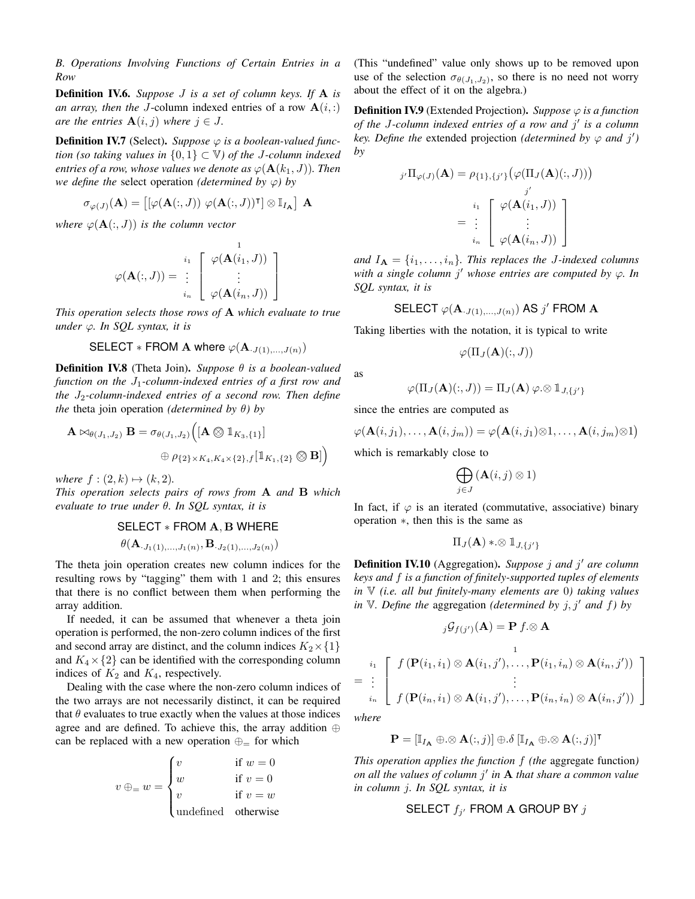*B. Operations Involving Functions of Certain Entries in a Row*

Definition IV.6. *Suppose* J *is a set of column keys. If* A *is an array, then the J*-column indexed entries of a row  $A(i, :)$ *are the entries*  $\mathbf{A}(i, j)$  *where*  $j \in J$ *.* 

**Definition IV.7** (Select). *Suppose*  $\varphi$  *is a boolean-valued function (so taking values in* {0, 1} ⊂ V*) of the* J*-column indexed entries of a row, whose values we denote as*  $\varphi(\mathbf{A}(k_1, J))$ *. Then we define the select operation (determined by*  $\varphi$ ) *by* 

$$
\sigma_{\varphi(J)}(\mathbf{A}) = \left[ [\varphi(\mathbf{A}(:,J)) \ \varphi(\mathbf{A}(:,J))^{\intercal}] \otimes \mathbb{I}_{I_{\mathbf{A}}} \right] \ \mathbf{A}
$$

*where*  $\varphi(\mathbf{A}(:,J))$  *is the column vector* 

$$
\varphi(\mathbf{A}(:,J)) = \begin{cases} i_1 & \downarrow \\ i_n & \downarrow \end{cases} \begin{bmatrix} \varphi(\mathbf{A}(i_1,J)) \\ \vdots \\ \varphi(\mathbf{A}(i_n,J)) \end{bmatrix}
$$

*This operation selects those rows of* A *which evaluate to true under* ϕ*. In SQL syntax, it is*

$$
\mathsf{SELECT} * \mathsf{FROM} \mathbf{A} \text{ where } \varphi(\mathbf{A}_{\cdot J(1), \dots, J(n)})
$$

Definition IV.8 (Theta Join). *Suppose* θ *is a boolean-valued function on the* J1*-column-indexed entries of a first row and the* J2*-column-indexed entries of a second row. Then define the* theta join operation *(determined by* θ*) by*

$$
\mathbf{A} \bowtie_{\theta(J_1,J_2)} \mathbf{B} = \sigma_{\theta(J_1,J_2)} \Big( [\mathbf{A} \otimes \mathbb{1}_{K_3,\{1\}}] \newline \oplus \rho_{\{2\} \times K_4, K_4 \times \{2\}, f} [\mathbb{1}_{K_1,\{2\}} \otimes \mathbf{B}] \Big)
$$

*where*  $f : (2, k) \mapsto (k, 2)$ *.* 

*This operation selects pairs of rows from* A *and* B *which evaluate to true under* θ*. In SQL syntax, it is*

SELECT ∗ FROM A, B WHERE

 $\theta(\mathbf{A}_{\cdot J_1(1),... ,J_1(n)}, \mathbf{B}_{\cdot J_2(1),... ,J_2(n)})$ 

The theta join operation creates new column indices for the resulting rows by "tagging" them with 1 and 2; this ensures that there is no conflict between them when performing the array addition.

If needed, it can be assumed that whenever a theta join operation is performed, the non-zero column indices of the first and second array are distinct, and the column indices  $K_2 \times \{1\}$ and  $K_4 \times \{2\}$  can be identified with the corresponding column indices of  $K_2$  and  $K_4$ , respectively.

Dealing with the case where the non-zero column indices of the two arrays are not necessarily distinct, it can be required that  $\theta$  evaluates to true exactly when the values at those indices agree and are defined. To achieve this, the array addition ⊕ can be replaced with a new operation  $\oplus$  for which

$$
v \oplus_{x=0} w = \begin{cases} v & \text{if } w=0 \\ w & \text{if } v=0 \\ v & \text{if } v=w \\ \text{undefined} & \text{otherwise} \end{cases}
$$

(This "undefined" value only shows up to be removed upon use of the selection  $\sigma_{\theta}(J_1, J_2)$ , so there is no need not worry about the effect of it on the algebra.)

**Definition IV.9** (Extended Projection). *Suppose*  $\varphi$  *is a function of the* J*-column indexed entries of a row and* j 0 *is a column key. Define the* extended projection *(determined by*  $\varphi$  *and j') by*

$$
j'\Pi_{\varphi(J)}(\mathbf{A}) = \rho_{\{1\},\{j'\}}\big(\varphi(\Pi_J(\mathbf{A})(:,J))\big)
$$

$$
= \begin{array}{c} i_1 \\ \vdots \\ i_n \end{array} \begin{bmatrix} \varphi(\mathbf{A}(i_1,J)) \\ \vdots \\ \varphi(\mathbf{A}(i_n,J)) \end{bmatrix}
$$

*and*  $I_A = \{i_1, \ldots, i_n\}$ *. This replaces the J-indexed columns with a single column* j <sup>0</sup> *whose entries are computed by* ϕ*. In SQL syntax, it is*

SELECT 
$$
\varphi(\mathbf{A}_{\cdot J(1),...J(n)})
$$
 AS  $j'$  FROM A

Taking liberties with the notation, it is typical to write

$$
\varphi(\Pi_J(\mathbf{A})(:,J))
$$

as

$$
\varphi(\Pi_J(\mathbf{A})(:,J)) = \Pi_J(\mathbf{A}) \varphi \otimes \mathbb{1}_{J,\{j'\}}
$$

since the entries are computed as

$$
\varphi(\mathbf{A}(i,j_1),\ldots,\mathbf{A}(i,j_m))=\varphi\big(\mathbf{A}(i,j_1)\otimes 1,\ldots,\mathbf{A}(i,j_m)\otimes 1\big)
$$

which is remarkably close to

$$
\bigoplus_{j\in J} (\mathbf{A}(i,j)\otimes 1)
$$

In fact, if  $\varphi$  is an iterated (commutative, associative) binary operation ∗, then this is the same as

$$
\Pi_J(\mathbf{A}) \ast \otimes \mathbb{1}_{J,\{j'\}}
$$

Definition IV.10 (Aggregation). Suppose j and j' are column *keys and* f *is a function of finitely-supported tuples of elements in* V *(i.e. all but finitely-many elements are* 0*) taking values in*  $V$ *. Define the* aggregation *(determined by*  $j$ ,  $j'$  *and*  $f$ ) *by* 

$$
_j\mathcal{G}_{f(j')}(\mathbf{A})=\mathbf{P}\,f.\otimes \mathbf{A}
$$

$$
= \begin{bmatrix} i_1 \\ \vdots \\ i_n \end{bmatrix} \left[ \begin{array}{c} f\left(\mathbf{P}(i_1, i_1) \otimes \mathbf{A}(i_1, j'), \dots, \mathbf{P}(i_1, i_n) \otimes \mathbf{A}(i_n, j')\right) \\ \vdots \\ f\left(\mathbf{P}(i_n, i_1) \otimes \mathbf{A}(i_1, j'), \dots, \mathbf{P}(i_n, i_n) \otimes \mathbf{A}(i_n, j')\right) \end{array} \right]
$$

*where*

$$
\mathbf{P} = [\mathbb{I}_{I_{\mathbf{A}}} \oplus \otimes \mathbf{A}(:,j)] \oplus \delta [\mathbb{I}_{I_{\mathbf{A}}} \oplus \otimes \mathbf{A}(:,j)]^{\mathsf{T}}
$$

*This operation applies the function* f *(the* aggregate function*) on all the values of column j' in A that share a common value in column* j*. In SQL syntax, it is*

SELECT 
$$
f_{j'}
$$
 FROM A GROUP BY  $j$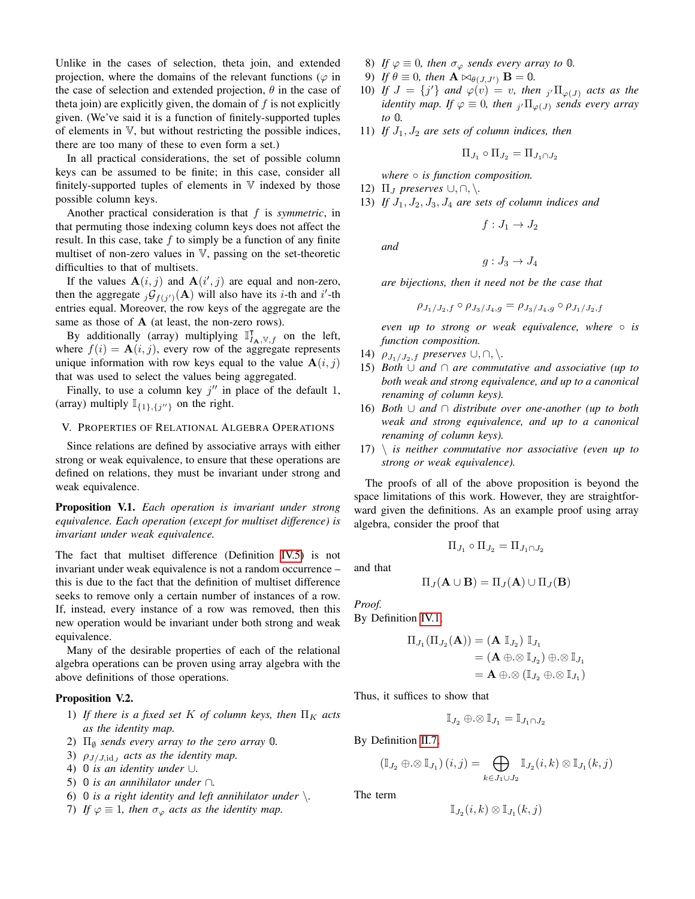Unlike in the cases of selection, theta join, and extended projection, where the domains of the relevant functions ( $\varphi$  in the case of selection and extended projection,  $\theta$  in the case of theta join) are explicitly given, the domain of  $f$  is not explicitly given. (We've said it is a function of finitely-supported tuples of elements in V, but without restricting the possible indices, there are too many of these to even form a set.)

In all practical considerations, the set of possible column keys can be assumed to be finite; in this case, consider all finitely-supported tuples of elements in  $V$  indexed by those possible column keys.

Another practical consideration is that f is *symmetric*, in that permuting those indexing column keys does not affect the result. In this case, take  $f$  to simply be a function of any finite multiset of non-zero values in V, passing on the set-theoretic difficulties to that of multisets.

If the values  $A(i, j)$  and  $A(i', j)$  are equal and non-zero, then the aggregate  ${}_{j}G_{f(j')}(\mathbf{A})$  will also have its *i*-th and *i'*-th entries equal. Moreover, the row keys of the aggregate are the same as those of **A** (at least, the non-zero rows).

By additionally (array) multiplying  $\mathbb{I}_{I_{\mathbf{A}}, V, f}^{T}$  on the left, where  $f(i) = \mathbf{A}(i, j)$ , every row of the aggregate represents unique information with row keys equal to the value  $A(i, j)$ that was used to select the values being aggregated.

Finally, to use a column key  $j''$  in place of the default 1, (array) multiply  $\mathbb{I}_{\{1\},\{j''\}}$  on the right.

### V. PROPERTIES OF RELATIONAL ALGEBRA OPERATIONS

Since relations are defined by associative arrays with either strong or weak equivalence, to ensure that these operations are defined on relations, they must be invariant under strong and weak equivalence.

Proposition V.1. *Each operation is invariant under strong equivalence. Each operation (except for multiset difference) is invariant under weak equivalence.*

The fact that multiset difference (Definition [IV.5\)](#page-5-0) is not invariant under weak equivalence is not a random occurrence – this is due to the fact that the definition of multiset difference seeks to remove only a certain number of instances of a row. If, instead, every instance of a row was removed, then this new operation would be invariant under both strong and weak equivalence.

Many of the desirable properties of each of the relational algebra operations can be proven using array algebra with the above definitions of those operations.

### Proposition V.2.

- 1) If there is a fixed set K of column keys, then  $\Pi_K$  acts *as the identity map.*
- 2)  $\Pi_{\emptyset}$  *sends every array to the zero array* 0.
- 3)  $\rho_{J/J,\mathrm{id}_J}$  acts as the identity map.
- 4) 0 *is an identity under* ∪*.*
- 5) 0 *is an annihilator under* ∩*.*
- 6)  $\theta$  *is a right identity and left annihilator under*  $\Lambda$ .
- 7) If  $\varphi \equiv 1$ , then  $\sigma_{\varphi}$  acts as the identity map.
- 8) *If*  $\varphi \equiv 0$ *, then*  $\sigma_{\varphi}$  *sends every array to* 0*.*
- 9) *If*  $\theta \equiv 0$ *, then*  $\mathbf{A} \Join_{\theta(J,J')} \mathbf{B} = 0$ *.*
- 10) If  $J = \{j'\}$  and  $\varphi(v) = v$ , then  $j'\Pi_{\varphi(J)}$  acts as the *identity map. If*  $\varphi \equiv 0$ *, then*  $i^{\prime} \Pi_{\varphi(J)}$  *sends every array to*  $\mathbb{0}$ .
- 11) *If*  $J_1$ ,  $J_2$  *are sets of column indices, then*

$$
\Pi_{J_1} \circ \Pi_{J_2} = \Pi_{J_1 \cap J_2}
$$

*where* ◦ *is function composition.*

- 12)  $\Pi_J$  *preserves*  $\cup, \cap, \setminus$ .
- 13) If  $J_1$ ,  $J_2$ ,  $J_3$ ,  $J_4$  are sets of column indices and

$$
f: J_1 \to
$$

 $J_2$ 

*and*

$$
g: J_3 \to J_4
$$

*are bijections, then it need not be the case that*

$$
\rho_{J_1/J_2,f} \circ \rho_{J_3/J_4,g} = \rho_{J_3/J_4,g} \circ \rho_{J_1/J_2,f}
$$

*even up to strong or weak equivalence, where* ⊙ *is function composition.*

- 14)  $\rho_{J_1/J_2,f}$  *preserves*  $\cup, \cap, \setminus$ .
- 15) *Both* ∪ *and* ∩ *are commutative and associative (up to both weak and strong equivalence, and up to a canonical renaming of column keys).*
- 16) *Both* ∪ *and* ∩ *distribute over one-another (up to both weak and strong equivalence, and up to a canonical renaming of column keys).*
- 17) \ *is neither commutative nor associative (even up to strong or weak equivalence).*

The proofs of all of the above proposition is beyond the space limitations of this work. However, they are straightforward given the definitions. As an example proof using array algebra, consider the proof that

 $\Pi_{J_1} \circ \Pi_{J_2} = \Pi_{J_1 \cap J_2}$ 

$$
\Pi_J(\mathbf{A} \cup \mathbf{B}) = \Pi_J(\mathbf{A}) \cup \Pi_J(\mathbf{B})
$$

*Proof.*

and that

By Definition [IV.1,](#page-4-2)

$$
\Pi_{J_1}(\Pi_{J_2}(\mathbf{A})) = (\mathbf{A} \mathbb{I}_{J_2}) \mathbb{I}_{J_1}
$$
  
= (\mathbf{A} \oplus \otimes \mathbb{I}\_{J\_2}) \oplus \otimes \mathbb{I}\_{J\_1}  
= \mathbf{A} \oplus \otimes (\mathbb{I}\_{J\_2} \oplus \otimes \mathbb{I}\_{J\_1})

Thus, it suffices to show that

$$
\mathbb{I}_{J_2} \oplus \otimes \mathbb{I}_{J_1} = \mathbb{I}_{J_1 \cap J_2}
$$

By Definition [II.7,](#page-2-0)

$$
\left(\mathbb{I}_{J_2} \oplus \otimes \mathbb{I}_{J_1}\right)(i,j) = \bigoplus_{k \in J_1 \cup J_2} \mathbb{I}_{J_2}(i,k) \otimes \mathbb{I}_{J_1}(k,j)
$$

The term

$$
\mathbb{I}_{J_2}(i,k)\otimes \mathbb{I}_{J_1}(k,j)
$$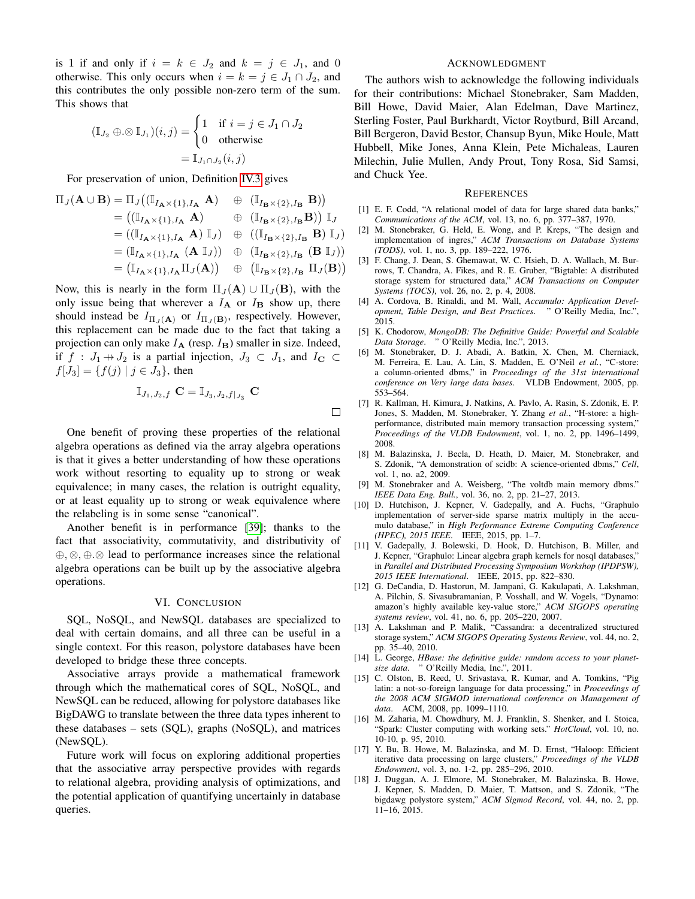is 1 if and only if  $i = k \in J_2$  and  $k = j \in J_1$ , and 0 otherwise. This only occurs when  $i = k = j \in J_1 \cap J_2$ , and this contributes the only possible non-zero term of the sum. This shows that

$$
(\mathbb{I}_{J_2} \oplus \otimes \mathbb{I}_{J_1})(i,j) = \begin{cases} 1 & \text{if } i = j \in J_1 \cap J_2 \\ 0 & \text{otherwise} \end{cases}
$$

$$
= \mathbb{I}_{J_1 \cap J_2}(i,j)
$$

For preservation of union, Definition [IV.3](#page-5-1) gives

$$
\begin{array}{lll} \Pi_J(\mathbf{A}\cup\mathbf{B})=\Pi_J\big((\mathbb{I}_{I_{\mathbf{A}}\times\{1\},I_{\mathbf{A}}}\;\mathbf{A}) & \oplus & (\mathbb{I}_{I_{\mathbf{B}}\times\{2\},I_{\mathbf{B}}}\;\mathbf{B})\big) \\ & = \left((\mathbb{I}_{I_{\mathbf{A}}\times\{1\},I_{\mathbf{A}}}\;\mathbf{A}) & \oplus & (\mathbb{I}_{I_{\mathbf{B}}\times\{2\},I_{\mathbf{B}}}\;\mathbf{B})\right)\,\mathbb{I}_J \\ & = \left((\mathbb{I}_{I_{\mathbf{A}}\times\{1\},I_{\mathbf{A}}}\;\mathbf{A})\;\mathbb{I}_J\right) & \oplus & ((\mathbb{I}_{I_{\mathbf{B}}\times\{2\},I_{\mathbf{B}}}\;\mathbf{B})\,\mathbb{I}_J) \\ & = \left(\mathbb{I}_{I_{\mathbf{A}}\times\{1\},I_{\mathbf{A}}}\left(\mathbf{A}\;\mathbb{I}_J\right)\right) & \oplus & (\mathbb{I}_{I_{\mathbf{B}}\times\{2\},I_{\mathbf{B}}}\left(\mathbf{B}\;\mathbb{I}_J)\right) \\ & = \left(\mathbb{I}_{I_{\mathbf{A}}\times\{1\},I_{\mathbf{A}}}\Pi_J(\mathbf{A})\right) & \oplus & (\mathbb{I}_{I_{\mathbf{B}}\times\{2\},I_{\mathbf{B}}}\;\Pi_J(\mathbf{B})\big) \end{array}
$$

Now, this is nearly in the form  $\Pi_J(A) \cup \Pi_J(B)$ , with the only issue being that wherever a  $I_A$  or  $I_B$  show up, there should instead be  $I_{\Pi_J(A)}$  or  $I_{\Pi_J(B)}$ , respectively. However, this replacement can be made due to the fact that taking a projection can only make  $I_A$  (resp.  $I_B$ ) smaller in size. Indeed, if  $f : J_1 + J_2$  is a partial injection,  $J_3 \subset J_1$ , and  $I_{\mathbf{C}} \subset$  $f[J_3] = \{f(j) | j \in J_3\}$ , then

$$
\mathbb{I}_{J_1,J_2,f}\ \mathbf{C}=\mathbb{I}_{J_3,J_2,f|_{J_3}}\ \mathbf{C}
$$

 $\mathcal{L}$ 

One benefit of proving these properties of the relational algebra operations as defined via the array algebra operations is that it gives a better understanding of how these operations work without resorting to equality up to strong or weak equivalence; in many cases, the relation is outright equality, or at least equality up to strong or weak equivalence where the relabeling is in some sense "canonical".

Another benefit is in performance [\[39\]](#page-9-11); thanks to the fact that associativity, commutativity, and distributivity of ⊕, ⊗, ⊕.⊗ lead to performance increases since the relational algebra operations can be built up by the associative algebra operations.

### VI. CONCLUSION

SQL, NoSQL, and NewSQL databases are specialized to deal with certain domains, and all three can be useful in a single context. For this reason, polystore databases have been developed to bridge these three concepts.

Associative arrays provide a mathematical framework through which the mathematical cores of SQL, NoSQL, and NewSQL can be reduced, allowing for polystore databases like BigDAWG to translate between the three data types inherent to these databases – sets (SQL), graphs (NoSQL), and matrices (NewSQL).

Future work will focus on exploring additional properties that the associative array perspective provides with regards to relational algebra, providing analysis of optimizations, and the potential application of quantifying uncertainly in database queries.

### ACKNOWLEDGMENT

The authors wish to acknowledge the following individuals for their contributions: Michael Stonebraker, Sam Madden, Bill Howe, David Maier, Alan Edelman, Dave Martinez, Sterling Foster, Paul Burkhardt, Victor Roytburd, Bill Arcand, Bill Bergeron, David Bestor, Chansup Byun, Mike Houle, Matt Hubbell, Mike Jones, Anna Klein, Pete Michaleas, Lauren Milechin, Julie Mullen, Andy Prout, Tony Rosa, Sid Samsi, and Chuck Yee.

### **REFERENCES**

- <span id="page-8-0"></span>[1] E. F. Codd, "A relational model of data for large shared data banks," *Communications of the ACM*, vol. 13, no. 6, pp. 377–387, 1970.
- <span id="page-8-1"></span>[2] M. Stonebraker, G. Held, E. Wong, and P. Kreps, "The design and implementation of ingres," *ACM Transactions on Database Systems (TODS)*, vol. 1, no. 3, pp. 189–222, 1976.
- <span id="page-8-2"></span>[3] F. Chang, J. Dean, S. Ghemawat, W. C. Hsieh, D. A. Wallach, M. Burrows, T. Chandra, A. Fikes, and R. E. Gruber, "Bigtable: A distributed storage system for structured data," *ACM Transactions on Computer Systems (TOCS)*, vol. 26, no. 2, p. 4, 2008.
- <span id="page-8-3"></span>[4] A. Cordova, B. Rinaldi, and M. Wall, *Accumulo: Application Development, Table Design, and Best Practices.* 2015.
- <span id="page-8-4"></span>[5] K. Chodorow, *MongoDB: The Definitive Guide: Powerful and Scalable Data Storage*. " O'Reilly Media, Inc.", 2013.
- <span id="page-8-5"></span>[6] M. Stonebraker, D. J. Abadi, A. Batkin, X. Chen, M. Cherniack, M. Ferreira, E. Lau, A. Lin, S. Madden, E. O'Neil *et al.*, "C-store: a column-oriented dbms," in *Proceedings of the 31st international conference on Very large data bases*. VLDB Endowment, 2005, pp. 553–564.
- <span id="page-8-6"></span>[7] R. Kallman, H. Kimura, J. Natkins, A. Pavlo, A. Rasin, S. Zdonik, E. P. Jones, S. Madden, M. Stonebraker, Y. Zhang *et al.*, "H-store: a highperformance, distributed main memory transaction processing system," *Proceedings of the VLDB Endowment*, vol. 1, no. 2, pp. 1496–1499, 2008.
- <span id="page-8-7"></span>[8] M. Balazinska, J. Becla, D. Heath, D. Maier, M. Stonebraker, and S. Zdonik, "A demonstration of scidb: A science-oriented dbms," *Cell*, vol. 1, no. a2, 2009.
- <span id="page-8-8"></span>[9] M. Stonebraker and A. Weisberg, "The voltdb main memory dbms." *IEEE Data Eng. Bull.*, vol. 36, no. 2, pp. 21–27, 2013.
- <span id="page-8-9"></span>[10] D. Hutchison, J. Kepner, V. Gadepally, and A. Fuchs, "Graphulo implementation of server-side sparse matrix multiply in the accumulo database," in *High Performance Extreme Computing Conference (HPEC), 2015 IEEE*. IEEE, 2015, pp. 1–7.
- <span id="page-8-10"></span>[11] V. Gadepally, J. Bolewski, D. Hook, D. Hutchison, B. Miller, and J. Kepner, "Graphulo: Linear algebra graph kernels for nosql databases," in *Parallel and Distributed Processing Symposium Workshop (IPDPSW), 2015 IEEE International*. IEEE, 2015, pp. 822–830.
- <span id="page-8-11"></span>[12] G. DeCandia, D. Hastorun, M. Jampani, G. Kakulapati, A. Lakshman, A. Pilchin, S. Sivasubramanian, P. Vosshall, and W. Vogels, "Dynamo: amazon's highly available key-value store," *ACM SIGOPS operating systems review*, vol. 41, no. 6, pp. 205–220, 2007.
- [13] A. Lakshman and P. Malik, "Cassandra: a decentralized structured storage system," *ACM SIGOPS Operating Systems Review*, vol. 44, no. 2, pp. 35–40, 2010.
- <span id="page-8-12"></span>[14] L. George, *HBase: the definitive guide: random access to your planetsize data*. " O'Reilly Media, Inc.", 2011.
- <span id="page-8-13"></span>[15] C. Olston, B. Reed, U. Srivastava, R. Kumar, and A. Tomkins, "Pig latin: a not-so-foreign language for data processing," in *Proceedings of the 2008 ACM SIGMOD international conference on Management of data*. ACM, 2008, pp. 1099–1110.
- <span id="page-8-14"></span>[16] M. Zaharia, M. Chowdhury, M. J. Franklin, S. Shenker, and I. Stoica, "Spark: Cluster computing with working sets." *HotCloud*, vol. 10, no. 10-10, p. 95, 2010.
- <span id="page-8-15"></span>[17] Y. Bu, B. Howe, M. Balazinska, and M. D. Ernst, "Haloop: Efficient iterative data processing on large clusters," *Proceedings of the VLDB Endowment*, vol. 3, no. 1-2, pp. 285–296, 2010.
- <span id="page-8-16"></span>[18] J. Duggan, A. J. Elmore, M. Stonebraker, M. Balazinska, B. Howe, J. Kepner, S. Madden, D. Maier, T. Mattson, and S. Zdonik, "The bigdawg polystore system," *ACM Sigmod Record*, vol. 44, no. 2, pp. 11–16, 2015.